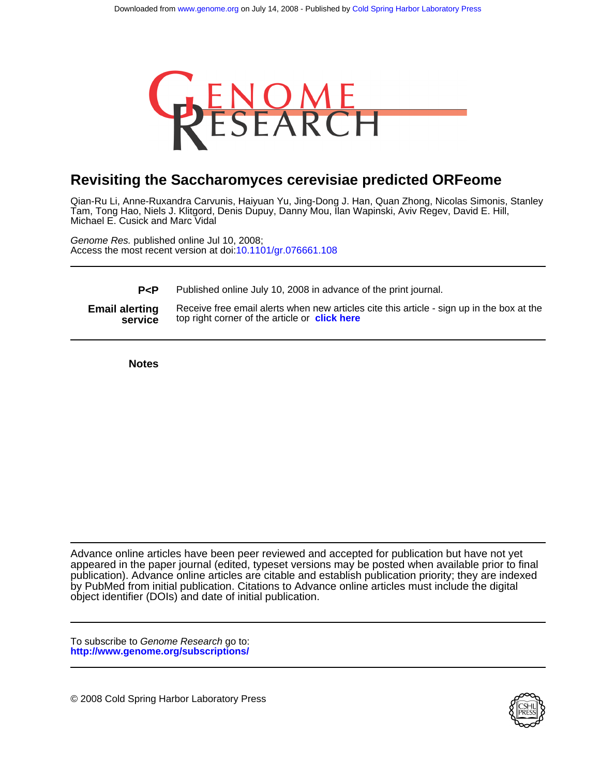

# **Revisiting the Saccharomyces cerevisiae predicted ORFeome**

Michael E. Cusick and Marc Vidal Tam, Tong Hao, Niels J. Klitgord, Denis Dupuy, Danny Mou, Ilan Wapinski, Aviv Regev, David E. Hill, Qian-Ru Li, Anne-Ruxandra Carvunis, Haiyuan Yu, Jing-Dong J. Han, Quan Zhong, Nicolas Simonis, Stanley

Access the most recent version at doi[:10.1101/gr.076661.108](http://www.genome.org/cgi/doi/10.1101/gr.076661.108) Genome Res. published online Jul 10, 2008;

**P<P** Published online July 10, 2008 in advance of the print journal.

**service Email alerting** Receive free email alerts when new articles<br>**service** top right corner of the article or **[click here](http://www.genome.org/cgi/alerts/ctalert?alertType=citedby&addAlert=cited_by&saveAlert=no&cited_by_criteria_resid=genome;gr.076661.108v2&return_type=article&return_url=http%3A%2F%2Fwww.genome.org%2Fcgi%2Freprint%2Fgr.076661.108v2.pdf)** Receive free email alerts when new articles cite this article - sign up in the box at the

**Notes**

object identifier (DOIs) and date of initial publication. by PubMed from initial publication. Citations to Advance online articles must include the digital publication). Advance online articles are citable and establish publication priority; they are indexed appeared in the paper journal (edited, typeset versions may be posted when available prior to final Advance online articles have been peer reviewed and accepted for publication but have not yet

**<http://www.genome.org/subscriptions/>** To subscribe to Genome Research go to:

© 2008 Cold Spring Harbor Laboratory Press

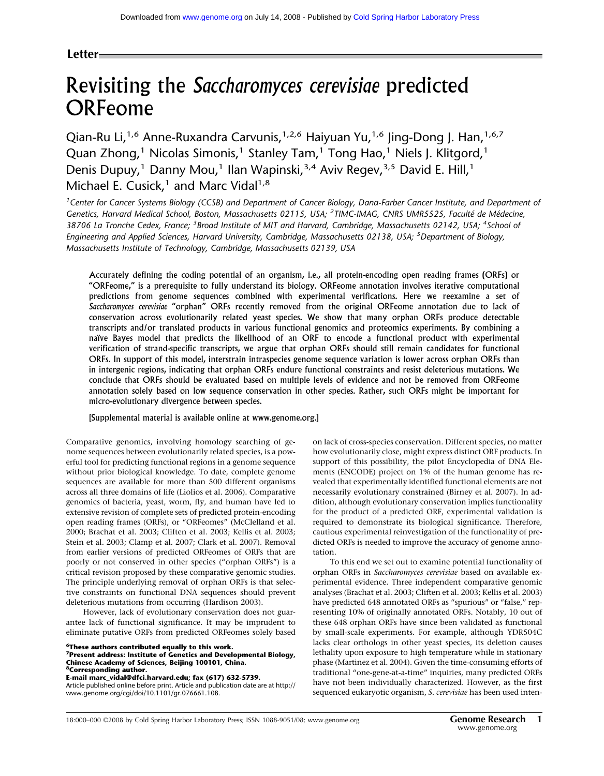# **Letter**

# Revisiting the *Saccharomyces cerevisiae* predicted ORFeome

Qian-Ru Li,<sup>1,6</sup> Anne-Ruxandra Carvunis,<sup>1,2,6</sup> Haiyuan Yu,<sup>1,6</sup> Jing-Dong J. Han,<sup>1,6,7</sup> Quan Zhong,<sup>1</sup> Nicolas Simonis,<sup>1</sup> Stanley Tam,<sup>1</sup> Tong Hao,<sup>1</sup> Niels J. Klitgord,<sup>1</sup> Denis Dupuy,<sup>1</sup> Danny Mou,<sup>1</sup> Ilan Wapinski,<sup>3,4</sup> Aviv Regev,<sup>3,5</sup> David E. Hill,<sup>1</sup> Michael E. Cusick, $1$  and Marc Vidal $1,8$ 

<sup>1</sup> Center for Cancer Systems Biology (CCSB) and Department of Cancer Biology, Dana-Farber Cancer Institute, and Department of Genetics, Harvard Medical School, Boston, Massachusetts 02115, USA; <sup>2</sup>TIMC-IMAG, CNRS UMR5525, Faculté de Médecine, *38706 La Tronche Cedex, France; <sup>3</sup> Broad Institute of MIT and Harvard, Cambridge, Massachusetts 02142, USA; <sup>4</sup> School of Engineering and Applied Sciences, Harvard University, Cambridge, Massachusetts 02138, USA; <sup>5</sup> Department of Biology, Massachusetts Institute of Technology, Cambridge, Massachusetts 02139, USA*

Accurately defining the coding potential of an organism, i.e., all protein-encoding open reading frames (ORFs) or "ORFeome," is a prerequisite to fully understand its biology. ORFeome annotation involves iterative computational predictions from genome sequences combined with experimental verifications. Here we reexamine a set of *Saccharomyces cerevisiae* "orphan" ORFs recently removed from the original ORFeome annotation due to lack of conservation across evolutionarily related yeast species. We show that many orphan ORFs produce detectable transcripts and/or translated products in various functional genomics and proteomics experiments. By combining a naïve Bayes model that predicts the likelihood of an ORF to encode a functional product with experimental verification of strand-specific transcripts, we argue that orphan ORFs should still remain candidates for functional ORFs. In support of this model, interstrain intraspecies genome sequence variation is lower across orphan ORFs than in intergenic regions, indicating that orphan ORFs endure functional constraints and resist deleterious mutations. We conclude that ORFs should be evaluated based on multiple levels of evidence and not be removed from ORFeome annotation solely based on low sequence conservation in other species. Rather, such ORFs might be important for micro-evolutionary divergence between species.

[Supplemental material is available online at www.genome.org.]

Comparative genomics, involving homology searching of genome sequences between evolutionarily related species, is a powerful tool for predicting functional regions in a genome sequence without prior biological knowledge. To date, complete genome sequences are available for more than 500 different organisms across all three domains of life (Liolios et al. 2006). Comparative genomics of bacteria, yeast, worm, fly, and human have led to extensive revision of complete sets of predicted protein-encoding open reading frames (ORFs), or "ORFeomes" (McClelland et al. 2000; Brachat et al. 2003; Cliften et al. 2003; Kellis et al. 2003; Stein et al. 2003; Clamp et al. 2007; Clark et al. 2007). Removal from earlier versions of predicted ORFeomes of ORFs that are poorly or not conserved in other species ("orphan ORFs") is a critical revision proposed by these comparative genomic studies. The principle underlying removal of orphan ORFs is that selective constraints on functional DNA sequences should prevent deleterious mutations from occurring (Hardison 2003).

However, lack of evolutionary conservation does not guarantee lack of functional significance. It may be imprudent to eliminate putative ORFs from predicted ORFeomes solely based

**6These authors contributed equally to this work.**

**E-mail marc\_vidal@dfci.harvard.edu; fax (617) 632-5739.**

Article published online before print. Article and publication date are at http:// www.genome.org/cgi/doi/10.1101/gr.076661.108.

on lack of cross-species conservation. Different species, no matter how evolutionarily close, might express distinct ORF products. In support of this possibility, the pilot Encyclopedia of DNA Elements (ENCODE) project on 1% of the human genome has revealed that experimentally identified functional elements are not necessarily evolutionary constrained (Birney et al. 2007). In addition, although evolutionary conservation implies functionality for the product of a predicted ORF, experimental validation is required to demonstrate its biological significance. Therefore, cautious experimental reinvestigation of the functionality of predicted ORFs is needed to improve the accuracy of genome annotation.

To this end we set out to examine potential functionality of orphan ORFs in *Saccharomyces cerevisiae* based on available experimental evidence. Three independent comparative genomic analyses (Brachat et al. 2003; Cliften et al. 2003; Kellis et al. 2003) have predicted 648 annotated ORFs as "spurious" or "false," representing 10% of originally annotated ORFs. Notably, 10 out of these 648 orphan ORFs have since been validated as functional by small-scale experiments. For example, although YDR504C lacks clear orthologs in other yeast species, its deletion causes lethality upon exposure to high temperature while in stationary phase (Martinez et al. 2004). Given the time-consuming efforts of traditional "one-gene-at-a-time" inquiries, many predicted ORFs have not been individually characterized. However, as the first sequenced eukaryotic organism, *S. cerevisiae* has been used inten-

**<sup>7</sup>Present address: Institute of Genetics and Developmental Biology, Chinese Academy of Sciences, Beijing 100101, China. 8Corresponding author.**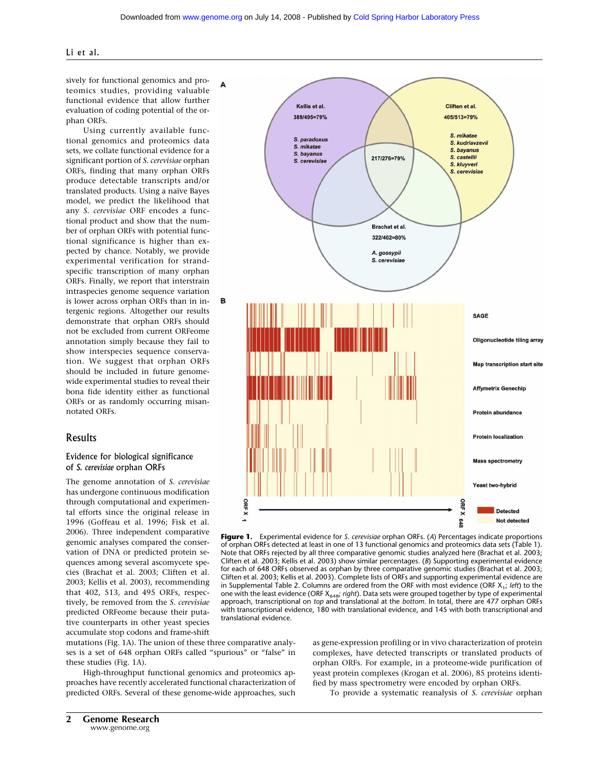#### Li et al.

sively for functional genomics and proteomics studies, providing valuable functional evidence that allow further evaluation of coding potential of the orphan ORFs.

A

в

Using currently available functional genomics and proteomics data sets, we collate functional evidence for a significant portion of *S. cerevisiae* orphan ORFs, finding that many orphan ORFs produce detectable transcripts and/or translated products. Using a naïve Bayes model, we predict the likelihood that any *S. cerevisiae* ORF encodes a functional product and show that the number of orphan ORFs with potential functional significance is higher than expected by chance. Notably, we provide experimental verification for strandspecific transcription of many orphan ORFs. Finally, we report that interstrain intraspecies genome sequence variation is lower across orphan ORFs than in intergenic regions. Altogether our results demonstrate that orphan ORFs should not be excluded from current ORFeome annotation simply because they fail to show interspecies sequence conservation. We suggest that orphan ORFs should be included in future genomewide experimental studies to reveal their bona fide identity either as functional ORFs or as randomly occurring misannotated ORFs.

# Results

# Evidence for biological significance of *S. cerevisiae* orphan ORFs

The genome annotation of *S. cerevisiae* has undergone continuous modification through computational and experimental efforts since the original release in 1996 (Goffeau et al. 1996; Fisk et al. 2006). Three independent comparative genomic analyses compared the conservation of DNA or predicted protein sequences among several ascomycete species (Brachat et al. 2003; Cliften et al. 2003; Kellis et al. 2003), recommending that 402, 513, and 495 ORFs, respectively, be removed from the *S. cerevisiae* predicted ORFeome because their putative counterparts in other yeast species accumulate stop codons and frame-shift

Kellis et al. Cliften et al. 389/495=79% 405/513=79% S. mikatae S. paradoxus S. kudriavzevii S. mikatae S. bayanus S. bayanus S. castellii 217/276=79% S. cerevisiae S. kluyveri S. cerevisiae **Brachat et al.** 322/402=80% A. gossypii S. cerevisiae SAGE Oligonucleotide tiling array **Map transcription start site Affymetrix Genechip** Protein abundance **Protein localization** Mass spectrometry Yeast two-hybrid **ORF X** ORF X **Detected** 

**Figure 1.** Experimental evidence for *S. cerevisiae* orphan ORFs. (*A*) Percentages indicate proportions of orphan ORFs detected at least in one of 13 functional genomics and proteomics data sets (Table 1). Note that ORFs rejected by all three comparative genomic studies analyzed here (Brachat et al. 2003; Cliften et al. 2003; Kellis et al. 2003) show similar percentages. (*B*) Supporting experimental evidence for each of 648 ORFs observed as orphan by three comparative genomic studies (Brachat et al. 2003; Cliften et al. 2003; Kellis et al. 2003). Complete lists of ORFs and supporting experimental evidence are in Supplemental Table 2. Columns are ordered from the ORF with most evidence (ORF X1; *left*) to the one with the least evidence (ORF X648; *right*). Data sets were grouped together by type of experimental approach, transcriptional on *top* and translational at the *bottom*. In total, there are 477 orphan ORFs with transcriptional evidence, 180 with translational evidence, and 145 with both transcriptional and translational evidence.

mutations (Fig. 1A). The union of these three comparative analyses is a set of 648 orphan ORFs called "spurious" or "false" in these studies (Fig. 1A).

High-throughput functional genomics and proteomics approaches have recently accelerated functional characterization of predicted ORFs. Several of these genome-wide approaches, such as gene-expression profiling or in vivo characterization of protein complexes, have detected transcripts or translated products of orphan ORFs. For example, in a proteome-wide purification of yeast protein complexes (Krogan et al. 2006), 85 proteins identified by mass spectrometry were encoded by orphan ORFs.

To provide a systematic reanalysis of *S. cerevisiae* orphan

848

Not detected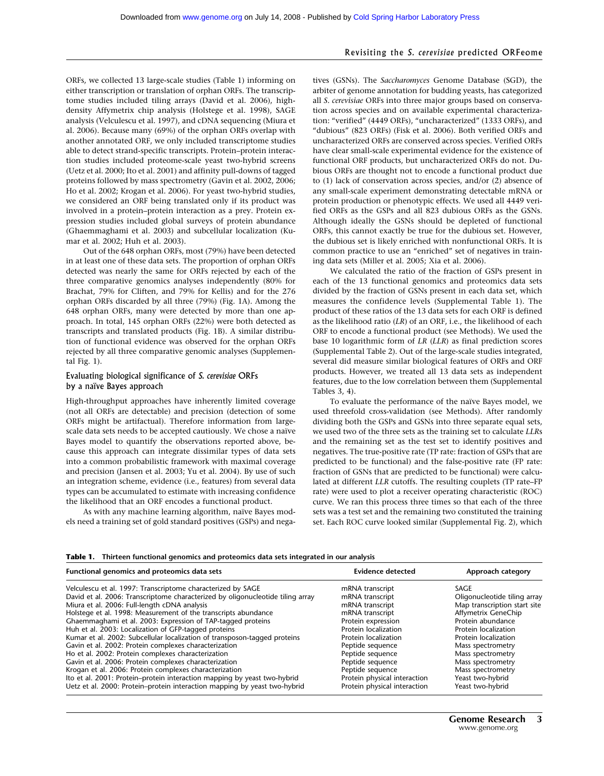#### Revisiting the *S. cerevisiae* predicted ORFeome

ORFs, we collected 13 large-scale studies (Table 1) informing on either transcription or translation of orphan ORFs. The transcriptome studies included tiling arrays (David et al. 2006), highdensity Affymetrix chip analysis (Holstege et al. 1998), SAGE analysis (Velculescu et al. 1997), and cDNA sequencing (Miura et al. 2006). Because many (69%) of the orphan ORFs overlap with another annotated ORF, we only included transcriptome studies able to detect strand-specific transcripts. Protein–protein interaction studies included proteome-scale yeast two-hybrid screens (Uetz et al. 2000; Ito et al. 2001) and affinity pull-downs of tagged proteins followed by mass spectrometry (Gavin et al. 2002, 2006; Ho et al. 2002; Krogan et al. 2006). For yeast two-hybrid studies, we considered an ORF being translated only if its product was involved in a protein–protein interaction as a prey. Protein expression studies included global surveys of protein abundance (Ghaemmaghami et al. 2003) and subcellular localization (Kumar et al. 2002; Huh et al. 2003).

Out of the 648 orphan ORFs, most (79%) have been detected in at least one of these data sets. The proportion of orphan ORFs detected was nearly the same for ORFs rejected by each of the three comparative genomics analyses independently (80% for Brachat, 79% for Cliften, and 79% for Kellis) and for the 276 orphan ORFs discarded by all three (79%) (Fig. 1A). Among the 648 orphan ORFs, many were detected by more than one approach. In total, 145 orphan ORFs (22%) were both detected as transcripts and translated products (Fig. 1B). A similar distribution of functional evidence was observed for the orphan ORFs rejected by all three comparative genomic analyses (Supplemental Fig. 1).

#### Evaluating biological significance of *S. cerevisiae* ORFs by a naïve Bayes approach

High-throughput approaches have inherently limited coverage (not all ORFs are detectable) and precision (detection of some ORFs might be artifactual). Therefore information from largescale data sets needs to be accepted cautiously. We chose a naïve Bayes model to quantify the observations reported above, because this approach can integrate dissimilar types of data sets into a common probabilistic framework with maximal coverage and precision (Jansen et al. 2003; Yu et al. 2004). By use of such an integration scheme, evidence (i.e., features) from several data types can be accumulated to estimate with increasing confidence the likelihood that an ORF encodes a functional product.

As with any machine learning algorithm, naïve Bayes models need a training set of gold standard positives (GSPs) and negatives (GSNs). The *Saccharomyces* Genome Database (SGD), the arbiter of genome annotation for budding yeasts, has categorized all *S. cerevisiae* ORFs into three major groups based on conservation across species and on available experimental characterization: "verified" (4449 ORFs), "uncharacterized" (1333 ORFs), and "dubious" (823 ORFs) (Fisk et al. 2006). Both verified ORFs and uncharacterized ORFs are conserved across species. Verified ORFs have clear small-scale experimental evidence for the existence of functional ORF products, but uncharacterized ORFs do not. Dubious ORFs are thought not to encode a functional product due to (1) lack of conservation across species, and/or (2) absence of any small-scale experiment demonstrating detectable mRNA or protein production or phenotypic effects. We used all 4449 verified ORFs as the GSPs and all 823 dubious ORFs as the GSNs. Although ideally the GSNs should be depleted of functional ORFs, this cannot exactly be true for the dubious set. However, the dubious set is likely enriched with nonfunctional ORFs. It is common practice to use an "enriched" set of negatives in training data sets (Miller et al. 2005; Xia et al. 2006).

We calculated the ratio of the fraction of GSPs present in each of the 13 functional genomics and proteomics data sets divided by the fraction of GSNs present in each data set, which measures the confidence levels (Supplemental Table 1). The product of these ratios of the 13 data sets for each ORF is defined as the likelihood ratio (*LR*) of an ORF, i.e., the likelihood of each ORF to encode a functional product (see Methods). We used the base 10 logarithmic form of *LR* (*LLR*) as final prediction scores (Supplemental Table 2). Out of the large-scale studies integrated, several did measure similar biological features of ORFs and ORF products. However, we treated all 13 data sets as independent features, due to the low correlation between them (Supplemental Tables 3, 4).

To evaluate the performance of the naïve Bayes model, we used threefold cross-validation (see Methods). After randomly dividing both the GSPs and GSNs into three separate equal sets, we used two of the three sets as the training set to calculate *LLR*s and the remaining set as the test set to identify positives and negatives. The true-positive rate (TP rate: fraction of GSPs that are predicted to be functional) and the false-positive rate (FP rate: fraction of GSNs that are predicted to be functional) were calculated at different *LLR* cutoffs. The resulting couplets (TP rate–FP rate) were used to plot a receiver operating characteristic (ROC) curve. We ran this process three times so that each of the three sets was a test set and the remaining two constituted the training set. Each ROC curve looked similar (Supplemental Fig. 2), which

#### **Table 1. Thirteen functional genomics and proteomics data sets integrated in our analysis**

| Functional genomics and proteomics data sets                                   | <b>Evidence detected</b>     | Approach category            |
|--------------------------------------------------------------------------------|------------------------------|------------------------------|
| Velculescu et al. 1997: Transcriptome characterized by SAGE                    | mRNA transcript              | SAGE                         |
| David et al. 2006: Transcriptome characterized by oligonucleotide tiling array | mRNA transcript              | Oligonucleotide tiling array |
| Miura et al. 2006: Full-length cDNA analysis                                   | mRNA transcript              | Map transcription start site |
| Holstege et al. 1998: Measurement of the transcripts abundance                 | mRNA transcript              | Affymetrix GeneChip          |
| Ghaemmaghami et al. 2003: Expression of TAP-tagged proteins                    | Protein expression           | Protein abundance            |
| Huh et al. 2003: Localization of GFP-tagged proteins                           | Protein localization         | Protein localization         |
| Kumar et al. 2002: Subcellular localization of transposon-tagged proteins      | Protein localization         | Protein localization         |
| Gavin et al. 2002: Protein complexes characterization                          | Peptide sequence             | Mass spectrometry            |
| Ho et al. 2002: Protein complexes characterization                             | Peptide sequence             | Mass spectrometry            |
| Gavin et al. 2006: Protein complexes characterization                          | Peptide sequence             | Mass spectrometry            |
| Krogan et al. 2006: Protein complexes characterization                         | Peptide sequence             | Mass spectrometry            |
| Ito et al. 2001: Protein–protein interaction mapping by yeast two-hybrid       | Protein physical interaction | Yeast two-hybrid             |
| Uetz et al. 2000: Protein-protein interaction mapping by yeast two-hybrid      | Protein physical interaction | Yeast two-hybrid             |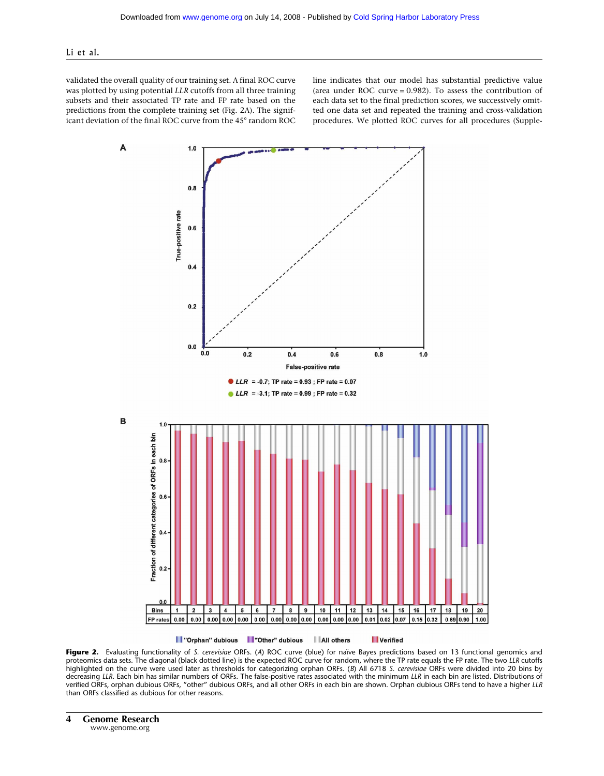#### Li et al.

validated the overall quality of our training set. A final ROC curve was plotted by using potential *LLR* cutoffs from all three training subsets and their associated TP rate and FP rate based on the predictions from the complete training set (Fig. 2A). The significant deviation of the final ROC curve from the 45° random ROC line indicates that our model has substantial predictive value (area under ROC curve = 0.982). To assess the contribution of each data set to the final prediction scores, we successively omitted one data set and repeated the training and cross-validation procedures. We plotted ROC curves for all procedures (Supple-



**Figure 2.** Evaluating functionality of *S. cerevisiae* ORFs. (*A*) ROC curve (blue) for naïve Bayes predictions based on 13 functional genomics and proteomics data sets. The diagonal (black dotted line) is the expected ROC curve for random, where the TP rate equals the FP rate. The two *LLR* cutoffs highlighted on the curve were used later as thresholds for categorizing orphan ORFs. (*B*) All 6718 *S. cerevisiae* ORFs were divided into 20 bins by decreasing *LLR*. Each bin has similar numbers of ORFs. The false-positive rates associated with the minimum *LLR* in each bin are listed. Distributions of verified ORFs, orphan dubious ORFs, "other" dubious ORFs, and all other ORFs in each bin are shown. Orphan dubious ORFs tend to have a higher *LLR* than ORFs classified as dubious for other reasons.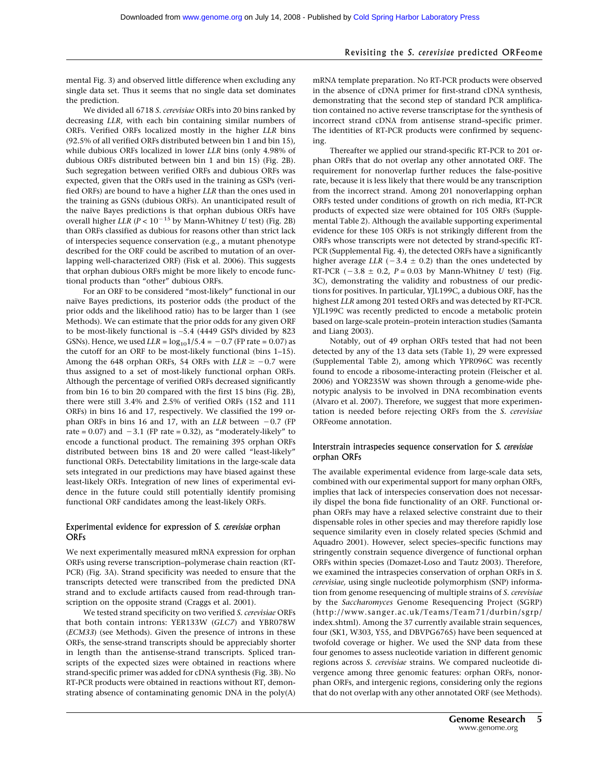# Revisiting the *S. cerevisiae* predicted ORFeome

mental Fig. 3) and observed little difference when excluding any single data set. Thus it seems that no single data set dominates the prediction.

We divided all 6718 *S. cerevisiae* ORFs into 20 bins ranked by decreasing *LLR*, with each bin containing similar numbers of ORFs. Verified ORFs localized mostly in the higher *LLR* bins (92.5% of all verified ORFs distributed between bin 1 and bin 15), while dubious ORFs localized in lower *LLR* bins (only 4.98% of dubious ORFs distributed between bin 1 and bin 15) (Fig. 2B). Such segregation between verified ORFs and dubious ORFs was expected, given that the ORFs used in the training as GSPs (verified ORFs) are bound to have a higher *LLR* than the ones used in the training as GSNs (dubious ORFs). An unanticipated result of the naïve Bayes predictions is that orphan dubious ORFs have overall higher *LLR* (*P* <  $10^{-15}$  by Mann-Whitney *U* test) (Fig. 2B) than ORFs classified as dubious for reasons other than strict lack of interspecies sequence conservation (e.g., a mutant phenotype described for the ORF could be ascribed to mutation of an overlapping well-characterized ORF) (Fisk et al. 2006). This suggests that orphan dubious ORFs might be more likely to encode functional products than "other" dubious ORFs.

For an ORF to be considered "most-likely" functional in our naïve Bayes predictions, its posterior odds (the product of the prior odds and the likelihood ratio) has to be larger than 1 (see Methods). We can estimate that the prior odds for any given ORF to be most-likely functional is ∼5.4 (4449 GSPs divided by 823 GSNs). Hence, we used  $LLR = log_{10}1/5.4 = -0.7$  (FP rate = 0.07) as the cutoff for an ORF to be most-likely functional (bins 1–15). Among the 648 orphan ORFs, 54 ORFs with  $LLR \ge -0.7$  were thus assigned to a set of most-likely functional orphan ORFs. Although the percentage of verified ORFs decreased significantly from bin 16 to bin 20 compared with the first 15 bins (Fig. 2B), there were still 3.4% and 2.5% of verified ORFs (152 and 111 ORFs) in bins 16 and 17, respectively. We classified the 199 orphan ORFs in bins 16 and 17, with an *LLR* between  $-0.7$  (FP rate =  $0.07$ ) and  $-3.1$  (FP rate =  $0.32$ ), as "moderately-likely" to encode a functional product. The remaining 395 orphan ORFs distributed between bins 18 and 20 were called "least-likely" functional ORFs. Detectability limitations in the large-scale data sets integrated in our predictions may have biased against these least-likely ORFs. Integration of new lines of experimental evidence in the future could still potentially identify promising functional ORF candidates among the least-likely ORFs.

#### Experimental evidence for expression of *S. cerevisiae* orphan **ORFs**

We next experimentally measured mRNA expression for orphan ORFs using reverse transcription–polymerase chain reaction (RT-PCR) (Fig. 3A). Strand specificity was needed to ensure that the transcripts detected were transcribed from the predicted DNA strand and to exclude artifacts caused from read-through transcription on the opposite strand (Craggs et al. 2001).

We tested strand specificity on two verified *S. cerevisiae* ORFs that both contain introns: YER133W (*GLC7*) and YBR078W (*ECM33*) (see Methods). Given the presence of introns in these ORFs, the sense-strand transcripts should be appreciably shorter in length than the antisense-strand transcripts. Spliced transcripts of the expected sizes were obtained in reactions where strand-specific primer was added for cDNA synthesis (Fig. 3B). No RT-PCR products were obtained in reactions without RT, demonstrating absence of contaminating genomic DNA in the poly(A) mRNA template preparation. No RT-PCR products were observed in the absence of cDNA primer for first-strand cDNA synthesis, demonstrating that the second step of standard PCR amplification contained no active reverse transcriptase for the synthesis of incorrect strand cDNA from antisense strand–specific primer. The identities of RT-PCR products were confirmed by sequencing.

Thereafter we applied our strand-specific RT-PCR to 201 orphan ORFs that do not overlap any other annotated ORF. The requirement for nonoverlap further reduces the false-positive rate, because it is less likely that there would be any transcription from the incorrect strand. Among 201 nonoverlapping orphan ORFs tested under conditions of growth on rich media, RT-PCR products of expected size were obtained for 105 ORFs (Supplemental Table 2). Although the available supporting experimental evidence for these 105 ORFs is not strikingly different from the ORFs whose transcripts were not detected by strand-specific RT-PCR (Supplemental Fig. 4), the detected ORFs have a significantly higher average  $LLR$  ( $-3.4 \pm 0.2$ ) than the ones undetected by RT-PCR  $(-3.8 \pm 0.2, P = 0.03$  by Mann-Whitney *U* test) (Fig. 3C), demonstrating the validity and robustness of our predictions for positives. In particular, YJL199C, a dubious ORF, has the highest *LLR* among 201 tested ORFs and was detected by RT-PCR. YJL199C was recently predicted to encode a metabolic protein based on large-scale protein–protein interaction studies (Samanta and Liang 2003).

Notably, out of 49 orphan ORFs tested that had not been detected by any of the 13 data sets (Table 1), 29 were expressed (Supplemental Table 2), among which YPR096C was recently found to encode a ribosome-interacting protein (Fleischer et al. 2006) and YOR235W was shown through a genome-wide phenotypic analysis to be involved in DNA recombination events (Alvaro et al. 2007). Therefore, we suggest that more experimentation is needed before rejecting ORFs from the *S. cerevisiae* ORFeome annotation.

## Interstrain intraspecies sequence conservation for *S. cerevisiae* orphan ORFs

The available experimental evidence from large-scale data sets, combined with our experimental support for many orphan ORFs, implies that lack of interspecies conservation does not necessarily dispel the bona fide functionality of an ORF. Functional orphan ORFs may have a relaxed selective constraint due to their dispensable roles in other species and may therefore rapidly lose sequence similarity even in closely related species (Schmid and Aquadro 2001). However, select species–specific functions may stringently constrain sequence divergence of functional orphan ORFs within species (Domazet-Loso and Tautz 2003). Therefore, we examined the intraspecies conservation of orphan ORFs in *S. cerevisiae,* using single nucleotide polymorphism (SNP) information from genome resequencing of multiple strains of *S. cerevisiae* by the *Saccharomyces* Genome Resequencing Project (SGRP) (http://www.sanger.ac.uk/Teams/Team71/durbin/sgrp/ index.shtml). Among the 37 currently available strain sequences, four (SK1, W303, Y55, and DBVPG6765) have been sequenced at twofold coverage or higher. We used the SNP data from these four genomes to assess nucleotide variation in different genomic regions across *S. cerevisiae* strains. We compared nucleotide divergence among three genomic features: orphan ORFs, nonorphan ORFs, and intergenic regions, considering only the regions that do not overlap with any other annotated ORF (see Methods).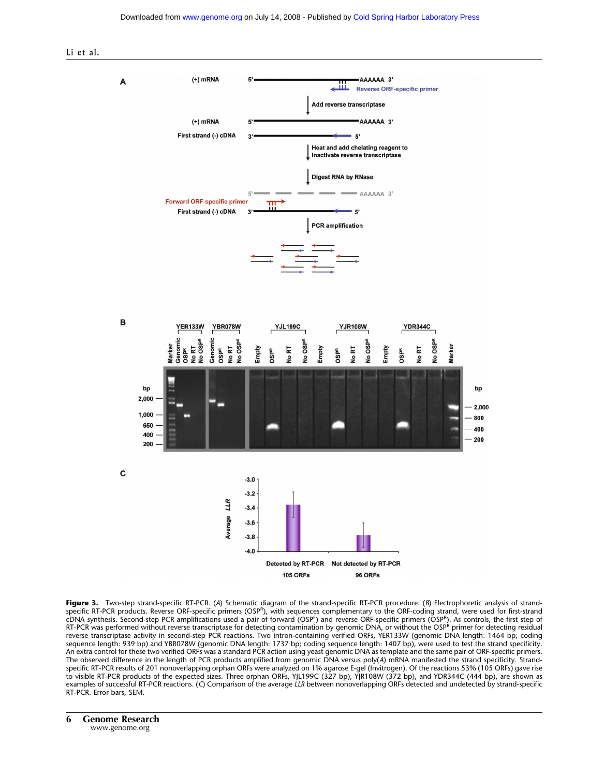



**Figure 3.** Two-step strand-specific RT-PCR. (*A*) Schematic diagram of the strand-specific RT-PCR procedure. (*B*) Electrophoretic analysis of strandspecific RT-PCR products. Reverse ORF-specific primers (OSP<sup>R</sup>), with sequences complementary to the ORF-coding strand, were used for first-strand cDNA synthesis. Second-step PCR amplifications used a pair of forward (OSP<sup>F</sup>) and reverse ORF-specific primers (OSP<sup>R</sup>). As controls, the first step of<br>RT-PCR was performed without reverse transcriptase for detecting cont reverse transcriptase activity in second-step PCR reactions. Two intron-containing verified ORFs, YER133W (genomic DNA length: 1464 bp; coding sequence length: 939 bp) and YBR078W (genomic DNA length: 1737 bp; coding sequence length: 1407 bp), were used to test the strand specificity. An extra control for these two verified ORFs was a standard PCR action using yeast genomic DNA as template and the same pair of ORF-specific primers. The observed difference in the length of PCR products amplified from genomic DNA versus poly(A) mRNA manifested the strand specificity. Strandspecific RT-PCR results of 201 nonoverlapping orphan ORFs were analyzed on 1% agarose E-gel (Invitrogen). Of the reactions 53% (105 ORFs) gave rise to visible RT-PCR products of the expected sizes. Three orphan ORFs, YJL199C (327 bp), YJR108W (372 bp), and YDR344C (444 bp), are shown as examples of successful RT-PCR reactions. (*C*) Comparison of the average *LLR* between nonoverlapping ORFs detected and undetected by strand-specific RT-PCR. Error bars, SEM.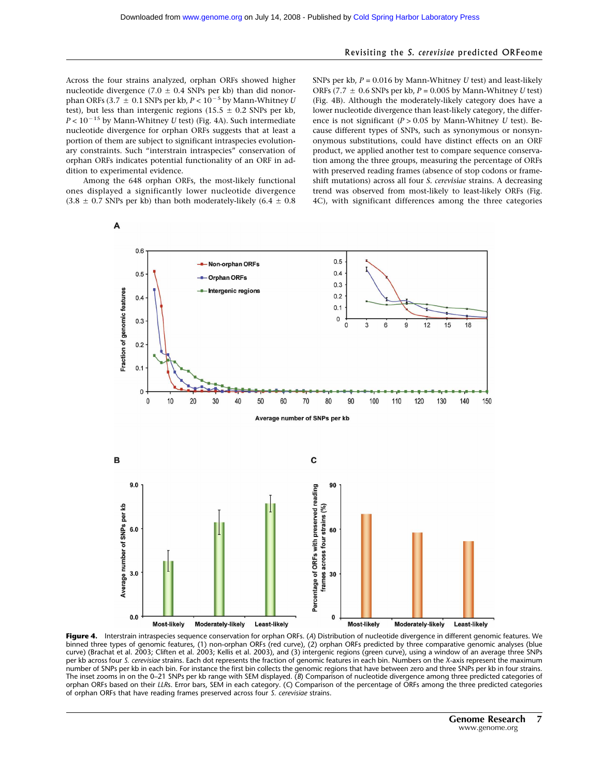#### Revisiting the *S. cerevisiae* predicted ORFeome

Across the four strains analyzed, orphan ORFs showed higher nucleotide divergence (7.0  $\pm$  0.4 SNPs per kb) than did nonorphan ORFs  $(3.7 \pm 0.1$  SNPs per kb,  $P < 10^{-5}$  by Mann-Whitney *U* test), but less than intergenic regions  $(15.5 \pm 0.2$  SNPs per kb,  $P < 10^{-15}$  by Mann-Whitney *U* test) (Fig. 4A). Such intermediate nucleotide divergence for orphan ORFs suggests that at least a portion of them are subject to significant intraspecies evolutionary constraints. Such "interstrain intraspecies" conservation of orphan ORFs indicates potential functionality of an ORF in addition to experimental evidence.

Among the 648 orphan ORFs, the most-likely functional ones displayed a significantly lower nucleotide divergence  $(3.8 \pm 0.7$  SNPs per kb) than both moderately-likely  $(6.4 \pm 0.8)$ 

A

SNPs per kb, *P* = 0.016 by Mann-Whitney *U* test) and least-likely ORFs (7.7 - 0.6 SNPs per kb, *P* = 0.005 by Mann-Whitney *U* test) (Fig. 4B). Although the moderately-likely category does have a lower nucleotide divergence than least-likely category, the difference is not significant (*P* > 0.05 by Mann-Whitney *U* test). Because different types of SNPs, such as synonymous or nonsynonymous substitutions, could have distinct effects on an ORF product, we applied another test to compare sequence conservation among the three groups, measuring the percentage of ORFs with preserved reading frames (absence of stop codons or frameshift mutations) across all four *S. cerevisiae* strains. A decreasing trend was observed from most-likely to least-likely ORFs (Fig. 4C), with significant differences among the three categories



**Figure 4.** Interstrain intraspecies sequence conservation for orphan ORFs. (*A*) Distribution of nucleotide divergence in different genomic features. We binned three types of genomic features, (1) non-orphan ORFs (red curve), (2) orphan ORFs predicted by three comparative genomic analyses (blue curve) (Brachat et al. 2003; Cliften et al. 2003; Kellis et al. 2003), and (3) intergenic regions (green curve), using a window of an average three SNPs per kb across four *S. cerevisiae* strains. Each dot represents the fraction of genomic features in each bin. Numbers on the *X*-axis represent the maximum number of SNPs per kb in each bin. For instance the first bin collects the genomic regions that have between zero and three SNPs per kb in four strains. The inset zooms in on the 0–21 SNPs per kb range with SEM displayed. (*B*) Comparison of nucleotide divergence among three predicted categories of orphan ORFs based on their *LLR*s. Error bars, SEM in each category. (*C*) Comparison of the percentage of ORFs among the three predicted categories of orphan ORFs that have reading frames preserved across four *S. cerevisiae* strains.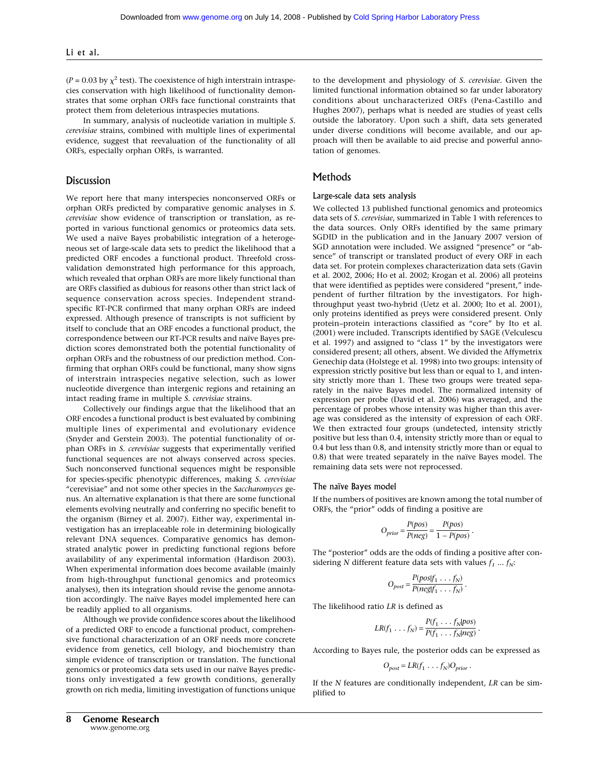$(P = 0.03$  by  $\chi^2$  test). The coexistence of high interstrain intraspecies conservation with high likelihood of functionality demonstrates that some orphan ORFs face functional constraints that protect them from deleterious intraspecies mutations.

In summary, analysis of nucleotide variation in multiple *S. cerevisiae* strains, combined with multiple lines of experimental evidence, suggest that reevaluation of the functionality of all ORFs, especially orphan ORFs, is warranted.

## **Discussion**

We report here that many interspecies nonconserved ORFs or orphan ORFs predicted by comparative genomic analyses in *S. cerevisiae* show evidence of transcription or translation, as reported in various functional genomics or proteomics data sets. We used a naïve Bayes probabilistic integration of a heterogeneous set of large-scale data sets to predict the likelihood that a predicted ORF encodes a functional product. Threefold crossvalidation demonstrated high performance for this approach, which revealed that orphan ORFs are more likely functional than are ORFs classified as dubious for reasons other than strict lack of sequence conservation across species. Independent strandspecific RT-PCR confirmed that many orphan ORFs are indeed expressed. Although presence of transcripts is not sufficient by itself to conclude that an ORF encodes a functional product, the correspondence between our RT-PCR results and naïve Bayes prediction scores demonstrated both the potential functionality of orphan ORFs and the robustness of our prediction method. Confirming that orphan ORFs could be functional, many show signs of interstrain intraspecies negative selection, such as lower nucleotide divergence than intergenic regions and retaining an intact reading frame in multiple *S. cerevisiae* strains.

Collectively our findings argue that the likelihood that an ORF encodes a functional product is best evaluated by combining multiple lines of experimental and evolutionary evidence (Snyder and Gerstein 2003). The potential functionality of orphan ORFs in *S. cerevisiae* suggests that experimentally verified functional sequences are not always conserved across species. Such nonconserved functional sequences might be responsible for species-specific phenotypic differences, making *S. cerevisiae* "cerevisiae" and not some other species in the *Saccharomyces* genus. An alternative explanation is that there are some functional elements evolving neutrally and conferring no specific benefit to the organism (Birney et al. 2007). Either way, experimental investigation has an irreplaceable role in determining biologically relevant DNA sequences. Comparative genomics has demonstrated analytic power in predicting functional regions before availability of any experimental information (Hardison 2003). When experimental information does become available (mainly from high-throughput functional genomics and proteomics analyses), then its integration should revise the genome annotation accordingly. The naïve Bayes model implemented here can be readily applied to all organisms.

Although we provide confidence scores about the likelihood of a predicted ORF to encode a functional product, comprehensive functional characterization of an ORF needs more concrete evidence from genetics, cell biology, and biochemistry than simple evidence of transcription or translation. The functional genomics or proteomics data sets used in our naïve Bayes predictions only investigated a few growth conditions, generally growth on rich media, limiting investigation of functions unique

to the development and physiology of *S. cerevisiae*. Given the limited functional information obtained so far under laboratory conditions about uncharacterized ORFs (Pena-Castillo and Hughes 2007), perhaps what is needed are studies of yeast cells outside the laboratory. Upon such a shift, data sets generated under diverse conditions will become available, and our approach will then be available to aid precise and powerful annotation of genomes.

# Methods

#### Large-scale data sets analysis

We collected 13 published functional genomics and proteomics data sets of *S. cerevisiae*, summarized in Table 1 with references to the data sources. Only ORFs identified by the same primary SGDID in the publication and in the January 2007 version of SGD annotation were included. We assigned "presence" or "absence" of transcript or translated product of every ORF in each data set. For protein complexes characterization data sets (Gavin et al. 2002, 2006; Ho et al. 2002; Krogan et al. 2006) all proteins that were identified as peptides were considered "present," independent of further filtration by the investigators. For highthroughput yeast two-hybrid (Uetz et al. 2000; Ito et al. 2001), only proteins identified as preys were considered present. Only protein–protein interactions classified as "core" by Ito et al. (2001) were included. Transcripts identified by SAGE (Velculescu et al. 1997) and assigned to "class 1" by the investigators were considered present; all others, absent. We divided the Affymetrix Genechip data (Holstege et al. 1998) into two groups: intensity of expression strictly positive but less than or equal to 1, and intensity strictly more than 1. These two groups were treated separately in the naïve Bayes model. The normalized intensity of expression per probe (David et al. 2006) was averaged, and the percentage of probes whose intensity was higher than this average was considered as the intensity of expression of each ORF. We then extracted four groups (undetected, intensity strictly positive but less than 0.4, intensity strictly more than or equal to 0.4 but less than 0.8, and intensity strictly more than or equal to 0.8) that were treated separately in the naïve Bayes model. The remaining data sets were not reprocessed.

#### The naïve Bayes model

If the numbers of positives are known among the total number of ORFs, the "prior" odds of finding a positive are

$$
O_{prior} = \frac{P(pos)}{P(neg)} = \frac{P(pos)}{1 - P(pos)}.
$$

The "posterior" odds are the odds of finding a positive after considering *N* different feature data sets with values  $f_1 \dots f_N$ :

$$
O_{post} = \frac{P(pos|f_1 \dots f_N)}{P(neg|f_1 \dots f_N)}.
$$

The likelihood ratio *LR* is defined as

$$
LR(f_1 \ldots f_N) = \frac{P(f_1 \ldots f_N | pos)}{P(f_1 \ldots f_N | neg)}.
$$

According to Bayes rule, the posterior odds can be expressed as

$$
O_{post} = LR(f_1 \dots f_N)O_{prior}.
$$

If the *N* features are conditionally independent, *LR* can be simplified to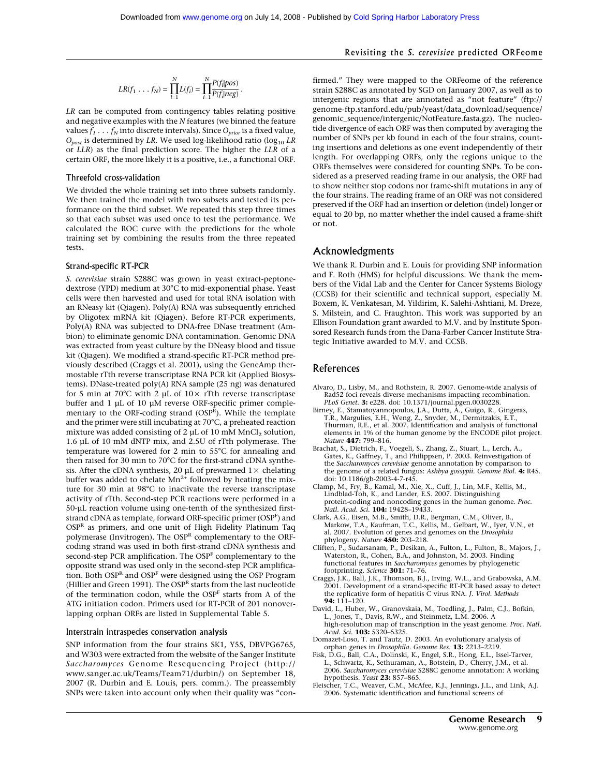$$
LR(f_1 \dots f_N) = \prod_{i=1}^{N} L(f_i) = \prod_{i=1}^{N} \frac{P(f_i | pos)}{P(f_i | neg)}.
$$

*LR* can be computed from contingency tables relating positive and negative examples with the *N* features (we binned the feature values  $f_1 \nldots f_N$  into discrete intervals). Since  $O_{prior}$  is a fixed value,  $O_{post}$  is determined by *LR*. We used log-likelihood ratio (log<sub>10</sub> *LR* or *LLR*) as the final prediction score. The higher the *LLR* of a certain ORF, the more likely it is a positive, i.e., a functional ORF.

#### Threefold cross-validation

We divided the whole training set into three subsets randomly. We then trained the model with two subsets and tested its performance on the third subset. We repeated this step three times so that each subset was used once to test the performance. We calculated the ROC curve with the predictions for the whole training set by combining the results from the three repeated tests.

#### Strand-specific RT-PCR

*S. cerevisiae* strain S288C was grown in yeast extract-peptonedextrose (YPD) medium at 30°C to mid-exponential phase. Yeast cells were then harvested and used for total RNA isolation with an RNeasy kit (Qiagen). Poly(A) RNA was subsequently enriched by Oligotex mRNA kit (Qiagen). Before RT-PCR experiments, Poly(A) RNA was subjected to DNA-free DNase treatment (Ambion) to eliminate genomic DNA contamination. Genomic DNA was extracted from yeast culture by the DNeasy blood and tissue kit (Qiagen). We modified a strand-specific RT-PCR method previously described (Craggs et al. 2001), using the GeneAmp thermostable rTth reverse transcriptase RNA PCR kit (Applied Biosystems). DNase-treated poly(A) RNA sample (25 ng) was denatured for 5 min at 70°C with 2 µL of  $10\times$  rTth reverse transcriptase buffer and 1 µL of 10 µM reverse ORF-specific primer complementary to the ORF-coding strand (OSPR). While the template and the primer were still incubating at 70°C, a preheated reaction mixture was added consisting of 2  $\mu$ L of 10 mM MnCl<sub>2</sub> solution, 1.6 µL of 10 mM dNTP mix, and 2.5U of rTth polymerase. The temperature was lowered for 2 min to 55°C for annealing and then raised for 30 min to 70°C for the first-strand cDNA synthesis. After the cDNA synthesis, 20 µL of prewarmed  $1\times$  chelating buffer was added to chelate  $Mn^{2+}$  followed by heating the mixture for 30 min at 98°C to inactivate the reverse transcriptase activity of rTth. Second-step PCR reactions were performed in a 50-µL reaction volume using one-tenth of the synthesized firststrand cDNA as template, forward ORF-specific primer (OSPF) and  $OSP<sup>R</sup>$  as primers, and one unit of High Fidelity Platinum Taq polymerase (Invitrogen). The OSPR complementary to the ORFcoding strand was used in both first-strand cDNA synthesis and second-step PCR amplification. The  $OSP<sup>F</sup>$  complementary to the opposite strand was used only in the second-step PCR amplification. Both  $OSP<sup>R</sup>$  and  $OSP<sup>F</sup>$  were designed using the OSP Program (Hillier and Green 1991). The  $OSP<sup>R</sup>$  starts from the last nucleotide of the termination codon, while the OSPF starts from A of the ATG initiation codon. Primers used for RT-PCR of 201 nonoverlapping orphan ORFs are listed in Supplemental Table 5.

#### Interstrain intraspecies conservation analysis

SNP information from the four strains SK1, Y55, DBVPG6765, and W303 were extracted from the website of the Sanger Institute *Saccharomyces* Genome Resequencing Project (http:// www.sanger.ac.uk/Teams/Team71/durbin/) on September 18, 2007 (R. Durbin and E. Louis, pers. comm.). The preassembly SNPs were taken into account only when their quality was "con-

firmed." They were mapped to the ORFeome of the reference strain S288C as annotated by SGD on January 2007, as well as to intergenic regions that are annotated as "not feature" (ftp:// genome-ftp.stanford.edu/pub/yeast/data\_download/sequence/ genomic\_sequence/intergenic/NotFeature.fasta.gz). The nucleotide divergence of each ORF was then computed by averaging the number of SNPs per kb found in each of the four strains, counting insertions and deletions as one event independently of their length. For overlapping ORFs, only the regions unique to the ORFs themselves were considered for counting SNPs. To be considered as a preserved reading frame in our analysis, the ORF had to show neither stop codons nor frame-shift mutations in any of the four strains. The reading frame of an ORF was not considered preserved if the ORF had an insertion or deletion (indel) longer or equal to 20 bp, no matter whether the indel caused a frame-shift or not.

# Acknowledgments

We thank R. Durbin and E. Louis for providing SNP information and F. Roth (HMS) for helpful discussions. We thank the members of the Vidal Lab and the Center for Cancer Systems Biology (CCSB) for their scientific and technical support, especially M. Boxem, K. Venkatesan, M. Yildirim, K. Salehi-Ashtiani, M. Dreze, S. Milstein, and C. Fraughton. This work was supported by an Ellison Foundation grant awarded to M.V. and by Institute Sponsored Research funds from the Dana-Farber Cancer Institute Strategic Initiative awarded to M.V. and CCSB.

# References

- Alvaro, D., Lisby, M., and Rothstein, R. 2007. Genome-wide analysis of Rad52 foci reveals diverse mechanisms impacting recombination. *PLoS Genet.* **3:** e228. doi: 10.1371/journal.pgen.0030228.
- Birney, E., Stamatoyannopoulos, J.A., Dutta, A., Guigo, R., Gingeras, T.R., Margulies, E.H., Weng, Z., Snyder, M., Dermitzakis, E.T., Thurman, R.E., et al. 2007. Identification and analysis of functional elements in 1% of the human genome by the ENCODE pilot project. *Nature* **447:** 799–816.
- Brachat, S., Dietrich, F., Voegeli, S., Zhang, Z., Stuart, L., Lerch, A., Gates, K., Gaffney, T., and Philippsen, P. 2003. Reinvestigation of the *Saccharomyces cerevisiae* genome annotation by comparison to the genome of a related fungus: *Ashbya gossypii. Genome Biol.* **4:** R45. doi: 10.1186/gb-2003-4-7-r45.
- Clamp, M., Fry, B., Kamal, M., Xie, X., Cuff, J., Lin, M.F., Kellis, M., Lindblad-Toh, K., and Lander, E.S. 2007. Distinguishing protein-coding and noncoding genes in the human genome. *Proc. Natl. Acad. Sci.* **104:** 19428–19433.
- Clark, A.G., Eisen, M.B., Smith, D.R., Bergman, C.M., Oliver, B., Markow, T.A., Kaufman, T.C., Kellis, M., Gelbart, W., Iyer, V.N., et al. 2007. Evolution of genes and genomes on the *Drosophila* phylogeny. *Nature* **450:** 203–218.
- Cliften, P., Sudarsanam, P., Desikan, A., Fulton, L., Fulton, B., Majors, J., Waterston, R., Cohen, B.A., and Johnston, M. 2003. Finding functional features in *Saccharomyces* genomes by phylogenetic
- footprinting. *Science* **301:** 71–76. Craggs, J.K., Ball, J.K., Thomson, B.J., Irving, W.L., and Grabowska, A.M. 2001. Development of a strand-specific RT-PCR based assay to detect the replicative form of hepatitis C virus RNA. *J. Virol. Methods* **94:** 111–120.
- David, L., Huber, W., Granovskaia, M., Toedling, J., Palm, C.J., Bofkin, L., Jones, T., Davis, R.W., and Steinmetz, L.M. 2006. A high-resolution map of transcription in the yeast genome. *Proc. Natl. Acad. Sci.* **103:** 5320–5325.
- Domazet-Loso, T. and Tautz, D. 2003. An evolutionary analysis of orphan genes in *Drosophila. Genome Res.* **13:** 2213–2219.
- Fisk, D.G., Ball, C.A., Dolinski, K., Engel, S.R., Hong, E.L., Issel-Tarver, L., Schwartz, K., Sethuraman, A., Botstein, D., Cherry, J.M., et al. 2006. *Saccharomyces cerevisiae* S288C genome annotation: A working hypothesis. *Yeast* **23:** 857–865.
- Fleischer, T.C., Weaver, C.M., McAfee, K.J., Jennings, J.L., and Link, A.J. 2006. Systematic identification and functional screens of